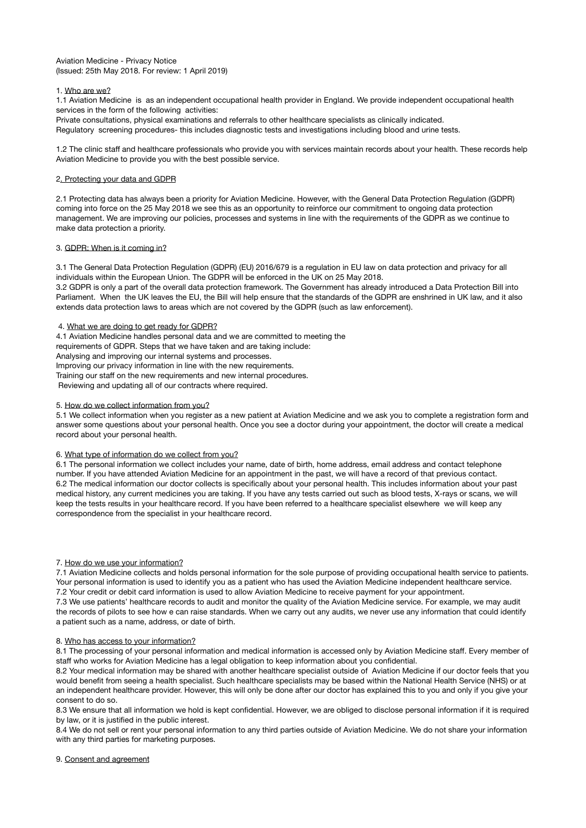## Aviation Medicine - Privacy Notice (Issued: 25th May 2018. For review: 1 April 2019)

# 1. Who are we?

1.1 Aviation Medicine is as an independent occupational health provider in England. We provide independent occupational health services in the form of the following activities:

Private consultations, physical examinations and referrals to other healthcare specialists as clinically indicated.

Regulatory screening procedures- this includes diagnostic tests and investigations including blood and urine tests.

1.2 The clinic staff and healthcare professionals who provide you with services maintain records about your health. These records help Aviation Medicine to provide you with the best possible service.

## 2. Protecting your data and GDPR

2.1 Protecting data has always been a priority for Aviation Medicine. However, with the General Data Protection Regulation (GDPR) coming into force on the 25 May 2018 we see this as an opportunity to reinforce our commitment to ongoing data protection management. We are improving our policies, processes and systems in line with the requirements of the GDPR as we continue to make data protection a priority.

## 3. GDPR: When is it coming in?

3.1 The General Data Protection Regulation (GDPR) (EU) 2016/679 is a regulation in EU law on data protection and privacy for all individuals within the European Union. The GDPR will be enforced in the UK on 25 May 2018.

3.2 GDPR is only a part of the overall data protection framework. The Government has already introduced a Data Protection Bill into Parliament. When the UK leaves the EU, the Bill will help ensure that the standards of the GDPR are enshrined in UK law, and it also extends data protection laws to areas which are not covered by the GDPR (such as law enforcement).

## 4. What we are doing to get ready for GDPR?

4.1 Aviation Medicine handles personal data and we are committed to meeting the requirements of GDPR. Steps that we have taken and are taking include: Analysing and improving our internal systems and processes. Improving our privacy information in line with the new requirements. Training our staff on the new requirements and new internal procedures. Reviewing and updating all of our contracts where required.

## 5. How do we collect information from you?

5.1 We collect information when you register as a new patient at Aviation Medicine and we ask you to complete a registration form and answer some questions about your personal health. Once you see a doctor during your appointment, the doctor will create a medical record about your personal health.

#### 6. What type of information do we collect from you?

6.1 The personal information we collect includes your name, date of birth, home address, email address and contact telephone number. If you have attended Aviation Medicine for an appointment in the past, we will have a record of that previous contact. 6.2 The medical information our doctor collects is specifically about your personal health. This includes information about your past medical history, any current medicines you are taking. If you have any tests carried out such as blood tests, X-rays or scans, we will keep the tests results in your healthcare record. If you have been referred to a healthcare specialist elsewhere we will keep any correspondence from the specialist in your healthcare record.

#### 7. How do we use your information?

7.1 Aviation Medicine collects and holds personal information for the sole purpose of providing occupational health service to patients. Your personal information is used to identify you as a patient who has used the Aviation Medicine independent healthcare service. 7.2 Your credit or debit card information is used to allow Aviation Medicine to receive payment for your appointment.

7.3 We use patients' healthcare records to audit and monitor the quality of the Aviation Medicine service. For example, we may audit the records of pilots to see how e can raise standards. When we carry out any audits, we never use any information that could identify a patient such as a name, address, or date of birth.

#### 8. Who has access to your information?

8.1 The processing of your personal information and medical information is accessed only by Aviation Medicine staff. Every member of staff who works for Aviation Medicine has a legal obligation to keep information about you confidential.

8.2 Your medical information may be shared with another healthcare specialist outside of Aviation Medicine if our doctor feels that you would benefit from seeing a health specialist. Such healthcare specialists may be based within the National Health Service (NHS) or at an independent healthcare provider. However, this will only be done after our doctor has explained this to you and only if you give your consent to do so.

8.3 We ensure that all information we hold is kept confidential. However, we are obliged to disclose personal information if it is required by law, or it is justified in the public interest.

8.4 We do not sell or rent your personal information to any third parties outside of Aviation Medicine. We do not share your information with any third parties for marketing purposes.

# 9. Consent and agreement